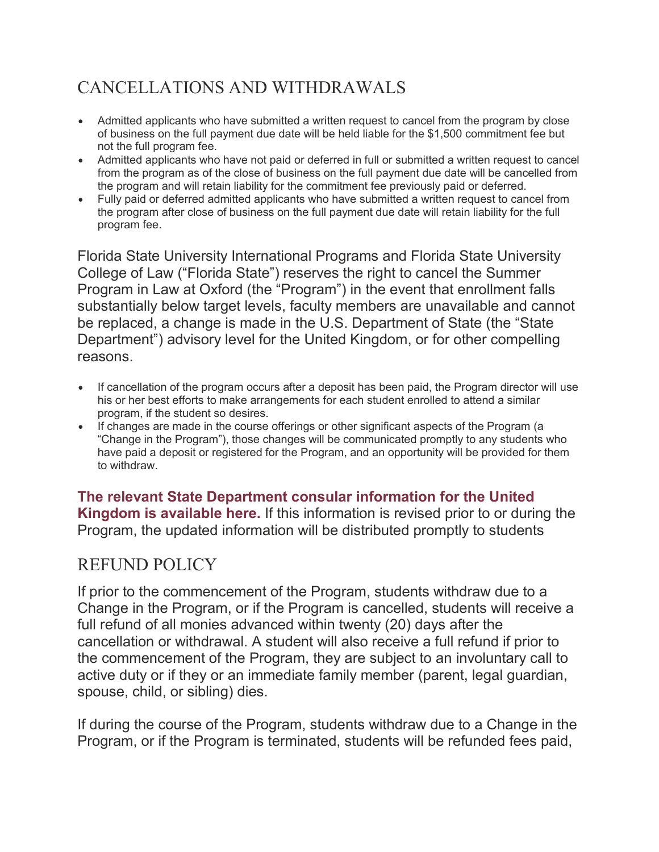# CANCELLATIONS AND WITHDRAWALS

- Admitted applicants who have submitted a written request to cancel from the program by close of business on the full payment due date will be held liable for the \$1,500 commitment fee but not the full program fee.
- Admitted applicants who have not paid or deferred in full or submitted a written request to cancel from the program as of the close of business on the full payment due date will be cancelled from the program and will retain liability for the commitment fee previously paid or deferred.
- Fully paid or deferred admitted applicants who have submitted a written request to cancel from the program after close of business on the full payment due date will retain liability for the full program fee.

Florida State University International Programs and Florida State University College of Law ("Florida State") reserves the right to cancel the Summer Program in Law at Oxford (the "Program") in the event that enrollment falls substantially below target levels, faculty members are unavailable and cannot be replaced, a change is made in the U.S. Department of State (the "State Department") advisory level for the United Kingdom, or for other compelling reasons.

- If cancellation of the program occurs after a deposit has been paid, the Program director will use his or her best efforts to make arrangements for each student enrolled to attend a similar program, if the student so desires.
- If changes are made in the course offerings or other significant aspects of the Program (a "Change in the Program"), those changes will be communicated promptly to any students who have paid a deposit or registered for the Program, and an opportunity will be provided for them to withdraw.

**[The relevant State Department consular information for the United](https://travel.state.gov/content/travel/en/international-travel/International-Travel-Country-Information-Pages/UnitedKingdom.html)  [Kingdom is available here.](https://travel.state.gov/content/travel/en/international-travel/International-Travel-Country-Information-Pages/UnitedKingdom.html)** If this information is revised prior to or during the Program, the updated information will be distributed promptly to students

## REFUND POLICY

If prior to the commencement of the Program, students withdraw due to a Change in the Program, or if the Program is cancelled, students will receive a full refund of all monies advanced within twenty (20) days after the cancellation or withdrawal. A student will also receive a full refund if prior to the commencement of the Program, they are subject to an involuntary call to active duty or if they or an immediate family member (parent, legal guardian, spouse, child, or sibling) dies.

If during the course of the Program, students withdraw due to a Change in the Program, or if the Program is terminated, students will be refunded fees paid,